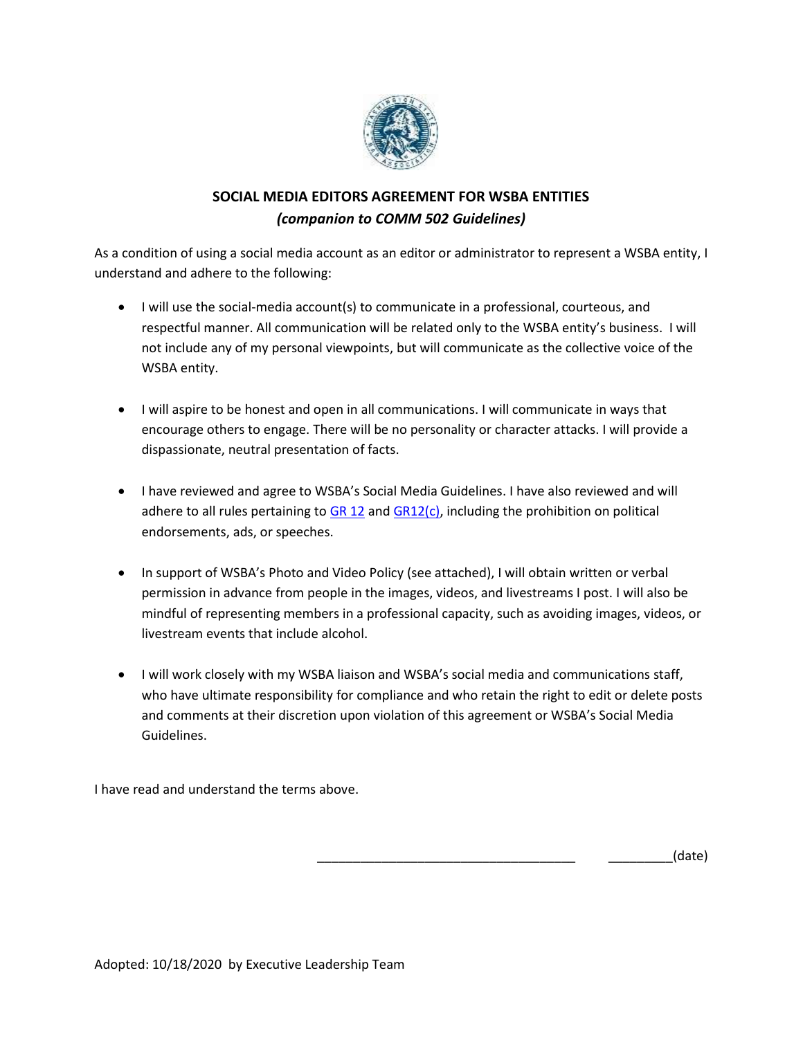

# **SOCIAL MEDIA EDITORS AGREEMENT FOR WSBA ENTITIES**  *(companion to COMM 502 Guidelines)*

As a condition of using a social media account as an editor or administrator to represent a WSBA entity, I understand and adhere to the following:

- I will use the social-media account(s) to communicate in a professional, courteous, and respectful manner. All communication will be related only to the WSBA entity's business. I will not include any of my personal viewpoints, but will communicate as the collective voice of the WSBA entity.
- I will aspire to be honest and open in all communications. I will communicate in ways that encourage others to engage. There will be no personality or character attacks. I will provide a dispassionate, neutral presentation of facts.
- I have reviewed and agree to WSBA's Social Media Guidelines. I have also reviewed and will adhere to all rules pertaining to  $GR 12$  and  $GR12(c)$ , including the prohibition on political endorsements, ads, or speeches.
- In support of WSBA's Photo and Video Policy (see attached), I will obtain written or verbal permission in advance from people in the images, videos, and livestreams I post. I will also be mindful of representing members in a professional capacity, such as avoiding images, videos, or livestream events that include alcohol.
- I will work closely with my WSBA liaison and WSBA's social media and communications staff, who have ultimate responsibility for compliance and who retain the right to edit or delete posts and comments at their discretion upon violation of this agreement or WSBA's Social Media Guidelines.

I have read and understand the terms above.

\_\_\_\_\_\_\_\_\_\_\_\_\_\_\_\_\_\_\_\_\_\_\_\_\_\_\_\_\_\_\_\_\_\_\_\_ \_\_\_\_\_\_\_\_\_(date)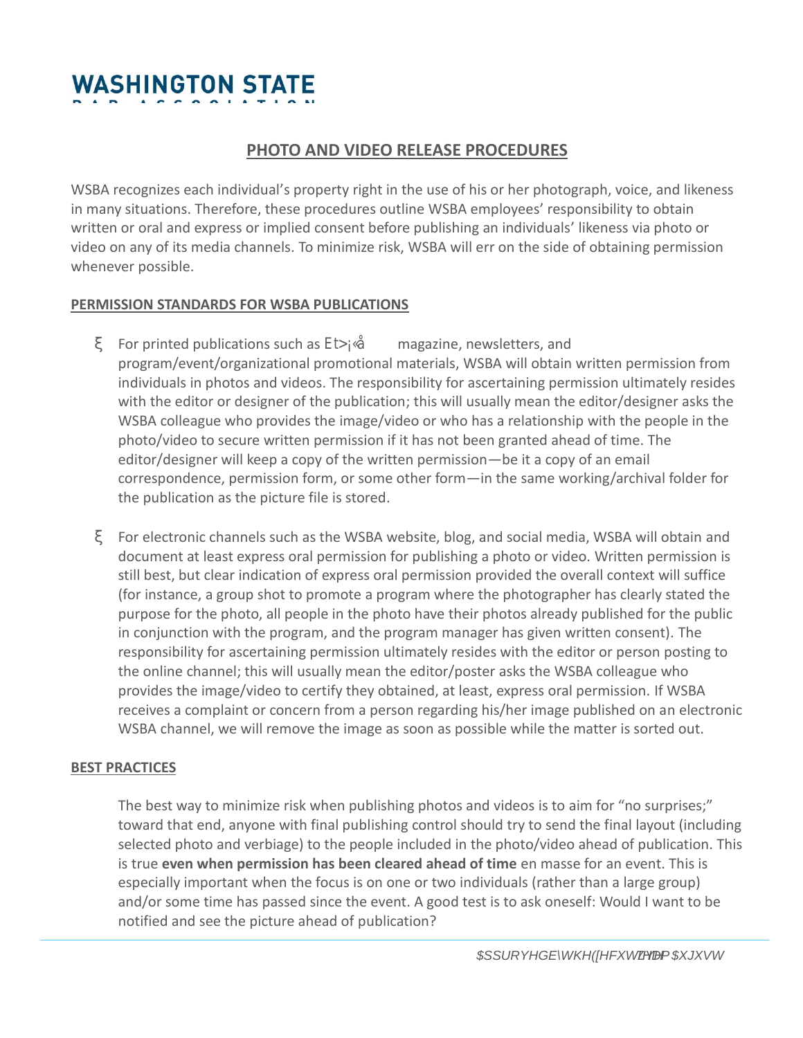# **PHOTO AND VIDEO RELEASE PROCEDURES**

WSBA recognizes each individual's property right in the use of his or her photograph, voice, and likeness in many situations. Therefore, these procedures outline WSBA employees' responsibility to obtain written or oral and express or implied consent before publishing an individuals' likeness via photo or video on any of its media channels. To minimize risk, WSBA will err on the side of obtaining permission whenever possible.

#### **PERMISSION STANDARDS FOR WSBA PUBLICATIONS**

For printed publications such as magazine, newsletters, and program/event/organizational promotional materials, WSBA will obtain written permission from individuals in photos and videos. The responsibility for ascertaining permission ultimately resides with the editor or designer of the publication; this will usually mean the editor/designer asks the WSBA colleague who provides the image/video or who has a relationship with the people in the photo/video to secure written permission if it has not been granted ahead of time. The editor/designer will keep a copy of the written permission—be it a copy of an email correspondence, permission form, or some other form—in the same working/archival folder for the publication as the picture file is stored.

For electronic channels such as the WSBA website, blog, and social media, WSBA will obtain and document at least express oral permission for publishing a photo or video. Written permission is still best, but clear indication of express oral permission provided the overall context will suffice (for instance, a group shot to promote a program where the photographer has clearly stated the purpose for the photo, all people in the photo have their photos already published for the public in conjunction with the program, and the program manager has given written consent). The responsibility for ascertaining permission ultimately resides with the editor or person posting to the online channel; this will usually mean the editor/poster asks the WSBA colleague who provides the image/video to certify they obtained, at least, express oral permission. If WSBA receives a complaint or concern from a person regarding his/her image published on an electronic WSBA channel, we will remove the image as soon as possible while the matter is sorted out.

### **BEST PRACTICES**

The best way to minimize risk when publishing photos and videos is to aim for "no surprises;" toward that end, anyone with final publishing control should try to send the final layout (including selected photo and verbiage) to the people included in the photo/video ahead of publication. This is true **even when permission has been cleared ahead of time** en masse for an event. This is especially important when the focus is on one or two individuals (rather than a large group) and/or some time has passed since the event. A good test is to ask oneself: Would I want to be notified and see the picture ahead of publication?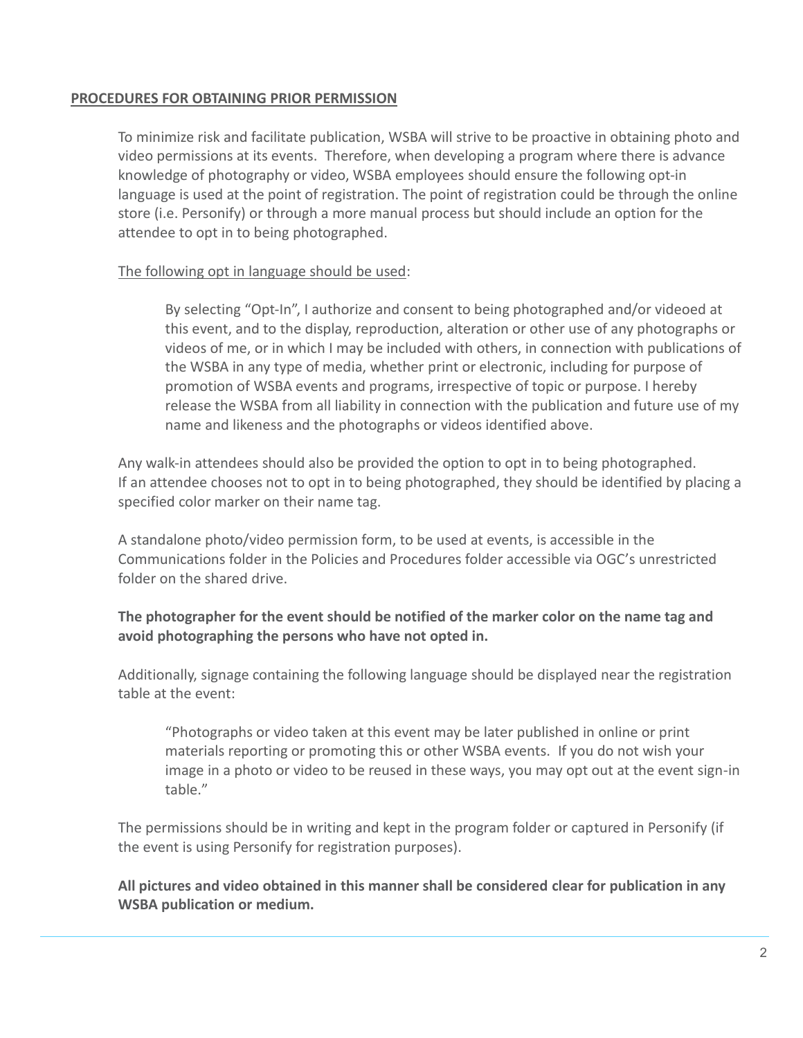## **PROCEDURES FOR OBTAINING PRIOR PERMISSION**

To minimize risk and facilitate publication, WSBA will strive to be proactive in obtaining photo and video permissions at its events. Therefore, when developing a program where there is advance knowledge of photography or video, WSBA employees should ensure the following opt-in language is used at the point of registration. The point of registration could be through the online store (i.e. Personify) or through a more manual process but should include an option for the attendee to opt in to being photographed.

## The following opt in language should be used:

By selecting "Opt-In", I authorize and consent to being photographed and/or videoed at this event, and to the display, reproduction, alteration or other use of any photographs or videos of me, or in which I may be included with others, in connection with publications of the WSBA in any type of media, whether print or electronic, including for purpose of promotion of WSBA events and programs, irrespective of topic or purpose. I hereby release the WSBA from all liability in connection with the publication and future use of my name and likeness and the photographs or videos identified above.

Any walk-in attendees should also be provided the option to opt in to being photographed. If an attendee chooses not to opt in to being photographed, they should be identified by placing a specified color marker on their name tag.

A standalone photo/video permission form, to be used at events, is accessible in the Communications folder in the Policies and Procedures folder accessible via OGC's unrestricted folder on the shared drive.

## **The photographer for the event should be notified of the marker color on the name tag and avoid photographing the persons who have not opted in.**

Additionally, signage containing the following language should be displayed near the registration table at the event:

"Photographs or video taken at this event may be later published in online or print materials reporting or promoting this or other WSBA events. If you do not wish your image in a photo or video to be reused in these ways, you may opt out at the event sign-in table."

The permissions should be in writing and kept in the program folder or captured in Personify (if the event is using Personify for registration purposes).

**All pictures and video obtained in this manner shall be considered clear for publication in any WSBA publication or medium.**